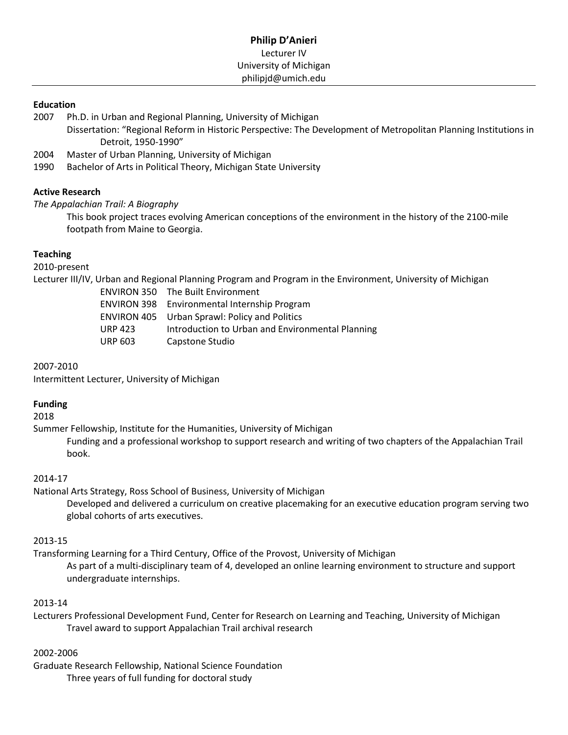### **Education**

- 2007 Ph.D. in Urban and Regional Planning, University of Michigan
	- Dissertation: "Regional Reform in Historic Perspective: The Development of Metropolitan Planning Institutions in Detroit, 1950-1990"
- 2004 Master of Urban Planning, University of Michigan
- 1990 Bachelor of Arts in Political Theory, Michigan State University

## **Active Research**

*The Appalachian Trail: A Biography*

This book project traces evolving American conceptions of the environment in the history of the 2100-mile footpath from Maine to Georgia.

## **Teaching**

2010-present

Lecturer III/IV, Urban and Regional Planning Program and Program in the Environment, University of Michigan

| <b>ENVIRON 350 The Built Environment</b>             |
|------------------------------------------------------|
| <b>ENVIRON 398</b> Environmental Internship Program  |
| <b>ENVIRON 405</b> Urban Sprawl: Policy and Politics |
| Introduction to Urban and Environmental Planning     |
| Capstone Studio                                      |
|                                                      |

2007-2010

Intermittent Lecturer, University of Michigan

# **Funding**

2018

Summer Fellowship, Institute for the Humanities, University of Michigan

Funding and a professional workshop to support research and writing of two chapters of the Appalachian Trail book.

# 2014-17

National Arts Strategy, Ross School of Business, University of Michigan

Developed and delivered a curriculum on creative placemaking for an executive education program serving two global cohorts of arts executives.

# 2013-15

Transforming Learning for a Third Century, Office of the Provost, University of Michigan As part of a multi-disciplinary team of 4, developed an online learning environment to structure and support undergraduate internships.

#### 2013-14

Lecturers Professional Development Fund, Center for Research on Learning and Teaching, University of Michigan Travel award to support Appalachian Trail archival research

# 2002-2006

Graduate Research Fellowship, National Science Foundation Three years of full funding for doctoral study